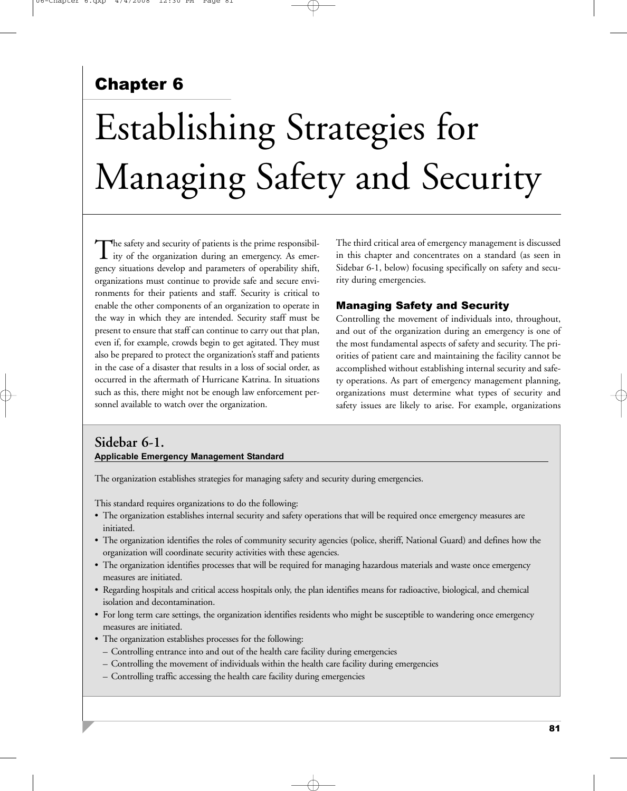# Chapter 6

# Establishing Strategies for Managing Safety and Security

The safety and security of patients is the prime responsibility of the organization during an emergency. As emergency situations develop and parameters of operability shift, organizations must continue to provide safe and secure environments for their patients and staff. Security is critical to enable the other components of an organization to operate in the way in which they are intended. Security staff must be present to ensure that staff can continue to carry out that plan, even if, for example, crowds begin to get agitated. They must also be prepared to protect the organization's staff and patients in the case of a disaster that results in a loss of social order, as occurred in the aftermath of Hurricane Katrina. In situations such as this, there might not be enough law enforcement personnel available to watch over the organization.

The third critical area of emergency management is discussed in this chapter and concentrates on a standard (as seen in Sidebar 6-1, below) focusing specifically on safety and security during emergencies.

# Managing Safety and Security

Controlling the movement of individuals into, throughout, and out of the organization during an emergency is one of the most fundamental aspects of safety and security. The priorities of patient care and maintaining the facility cannot be accomplished without establishing internal security and safety operations. As part of emergency management planning, organizations must determine what types of security and safety issues are likely to arise. For example, organizations

# **Sidebar 6-1. Applicable Emergency Management Standard**

The organization establishes strategies for managing safety and security during emergencies.

This standard requires organizations to do the following:

- The organization establishes internal security and safety operations that will be required once emergency measures are initiated.
- The organization identifies the roles of community security agencies (police, sheriff, National Guard) and defines how the organization will coordinate security activities with these agencies.
- The organization identifies processes that will be required for managing hazardous materials and waste once emergency measures are initiated.
- Regarding hospitals and critical access hospitals only, the plan identifies means for radioactive, biological, and chemical isolation and decontamination.
- For long term care settings, the organization identifies residents who might be susceptible to wandering once emergency measures are initiated.
- The organization establishes processes for the following:
	- Controlling entrance into and out of the health care facility during emergencies
	- Controlling the movement of individuals within the health care facility during emergencies
	- Controlling traffic accessing the health care facility during emergencies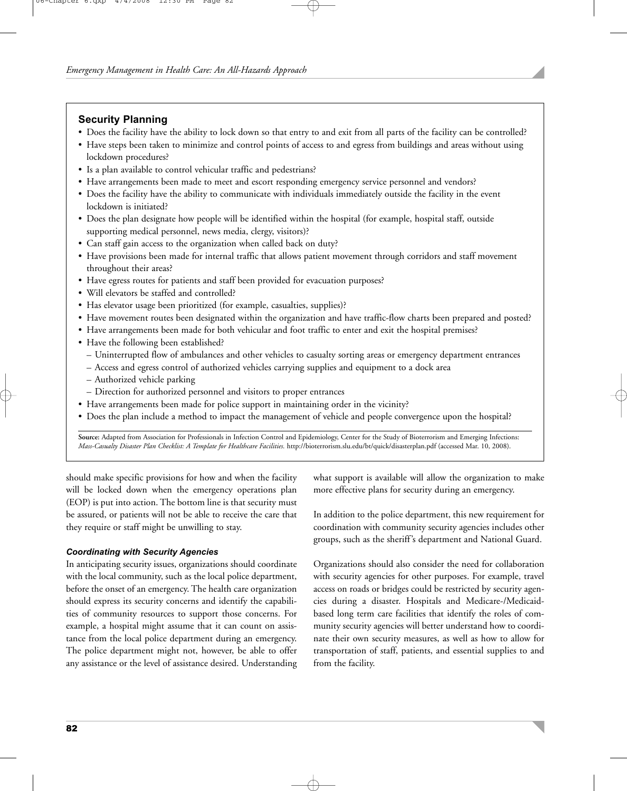# **Security Planning**

- Does the facility have the ability to lock down so that entry to and exit from all parts of the facility can be controlled?
- Have steps been taken to minimize and control points of access to and egress from buildings and areas without using lockdown procedures?
- Is a plan available to control vehicular traffic and pedestrians?
- Have arrangements been made to meet and escort responding emergency service personnel and vendors?
- Does the facility have the ability to communicate with individuals immediately outside the facility in the event lockdown is initiated?
- Does the plan designate how people will be identified within the hospital (for example, hospital staff, outside supporting medical personnel, news media, clergy, visitors)?
- Can staff gain access to the organization when called back on duty?
- Have provisions been made for internal traffic that allows patient movement through corridors and staff movement throughout their areas?
- Have egress routes for patients and staff been provided for evacuation purposes?
- Will elevators be staffed and controlled?
- Has elevator usage been prioritized (for example, casualties, supplies)?
- Have movement routes been designated within the organization and have traffic-flow charts been prepared and posted?
- Have arrangements been made for both vehicular and foot traffic to enter and exit the hospital premises?
- Have the following been established?
	- Uninterrupted flow of ambulances and other vehicles to casualty sorting areas or emergency department entrances
	- Access and egress control of authorized vehicles carrying supplies and equipment to a dock area
	- Authorized vehicle parking
- Direction for authorized personnel and visitors to proper entrances
- Have arrangements been made for police support in maintaining order in the vicinity?
- Does the plan include a method to impact the management of vehicle and people convergence upon the hospital?

**Source:** Adapted from Association for Professionals in Infection Control and Epidemiology, Center for the Study of Bioterrorism and Emerging Infections: *Mass-Casualty Disaster Plan Checklist: A Template for Healthcare Facilities.* http://bioterrorism.slu.edu/bt/quick/disasterplan.pdf (accessed Mar. 10, 2008).

should make specific provisions for how and when the facility will be locked down when the emergency operations plan (EOP) is put into action. The bottom line is that security must be assured, or patients will not be able to receive the care that they require or staff might be unwilling to stay.

## *Coordinating with Security Agencies*

In anticipating security issues, organizations should coordinate with the local community, such as the local police department, before the onset of an emergency. The health care organization should express its security concerns and identify the capabilities of community resources to support those concerns. For example, a hospital might assume that it can count on assistance from the local police department during an emergency. The police department might not, however, be able to offer any assistance or the level of assistance desired. Understanding what support is available will allow the organization to make more effective plans for security during an emergency.

In addition to the police department, this new requirement for coordination with community security agencies includes other groups, such as the sheriff's department and National Guard.

Organizations should also consider the need for collaboration with security agencies for other purposes. For example, travel access on roads or bridges could be restricted by security agencies during a disaster. Hospitals and Medicare-/Medicaidbased long term care facilities that identify the roles of community security agencies will better understand how to coordinate their own security measures, as well as how to allow for transportation of staff, patients, and essential supplies to and from the facility.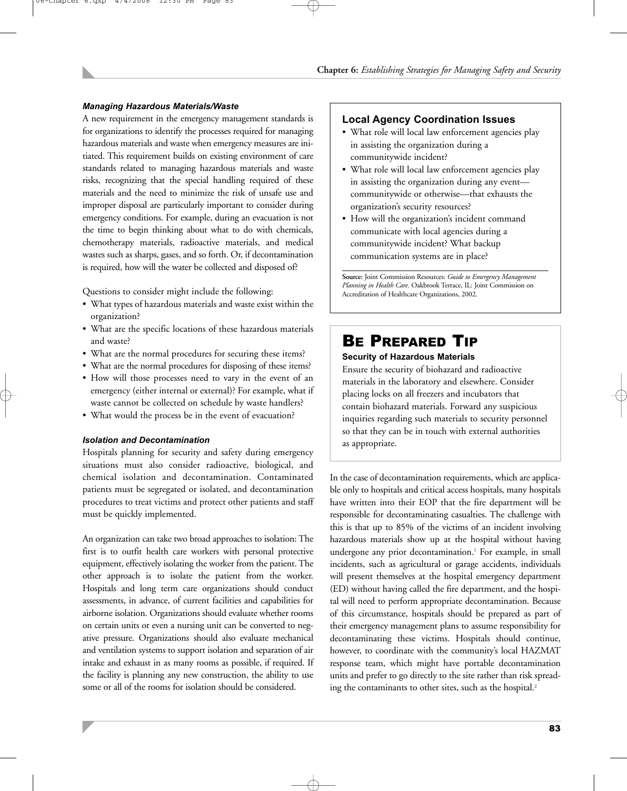#### *Managing Hazardous Materials/Waste*

A new requirement in the emergency management standards is for organizations to identify the processes required for managing hazardous materials and waste when emergency measures are initiated. This requirement builds on existing environment of care standards related to managing hazardous materials and waste risks, recognizing that the special handling required of these materials and the need to minimize the risk of unsafe use and improper disposal are particularly important to consider during emergency conditions. For example, during an evacuation is not the time to begin thinking about what to do with chemicals, chemotherapy materials, radioactive materials, and medical wastes such as sharps, gases, and so forth. Or, if decontamination is required, how will the water be collected and disposed of?

Questions to consider might include the following:

- What types of hazardous materials and waste exist within the organization?
- What are the specific locations of these hazardous materials and waste?
- What are the normal procedures for securing these items?
- What are the normal procedures for disposing of these items?
- How will those processes need to vary in the event of an emergency (either internal or external)? For example, what if waste cannot be collected on schedule by waste handlers?
- What would the process be in the event of evacuation?

#### *Isolation and Decontamination*

Hospitals planning for security and safety during emergency situations must also consider radioactive, biological, and chemical isolation and decontamination. Contaminated patients must be segregated or isolated, and decontamination procedures to treat victims and protect other patients and staff must be quickly implemented.

An organization can take two broad approaches to isolation: The first is to outfit health care workers with personal protective equipment, effectively isolating the worker from the patient. The other approach is to isolate the patient from the worker. Hospitals and long term care organizations should conduct assessments, in advance, of current facilities and capabilities for airborne isolation. Organizations should evaluate whether rooms on certain units or even a nursing unit can be converted to negative pressure. Organizations should also evaluate mechanical and ventilation systems to support isolation and separation of air intake and exhaust in as many rooms as possible, if required. If the facility is planning any new construction, the ability to use some or all of the rooms for isolation should be considered.

## **Local Agency Coordination Issues**

- What role will local law enforcement agencies play in assisting the organization during a communitywide incident?
- What role will local law enforcement agencies play in assisting the organization during any event communitywide or otherwise—that exhausts the organization's security resources?
- How will the organization's incident command communicate with local agencies during a communitywide incident? What backup communication systems are in place?

**Source:** Joint Commission Resources: *Guide to Emergency Management Planning in Health Care.* Oakbrook Terrace, IL: Joint Commission on Accreditation of Healthcare Organizations, 2002.

# BE PREPARED TIP

#### **Security of Hazardous Materials**

Ensure the security of biohazard and radioactive materials in the laboratory and elsewhere. Consider placing locks on all freezers and incubators that contain biohazard materials. Forward any suspicious inquiries regarding such materials to security personnel so that they can be in touch with external authorities as appropriate.

In the case of decontamination requirements, which are applicable only to hospitals and critical access hospitals, many hospitals have written into their EOP that the fire department will be responsible for decontaminating casualties. The challenge with this is that up to 85% of the victims of an incident involving hazardous materials show up at the hospital without having undergone any prior decontamination.<sup>1</sup> For example, in small incidents, such as agricultural or garage accidents, individuals will present themselves at the hospital emergency department (ED) without having called the fire department, and the hospital will need to perform appropriate decontamination. Because of this circumstance, hospitals should be prepared as part of their emergency management plans to assume responsibility for decontaminating these victims. Hospitals should continue, however, to coordinate with the community's local HAZMAT response team, which might have portable decontamination units and prefer to go directly to the site rather than risk spreading the contaminants to other sites, such as the hospital.<sup>2</sup>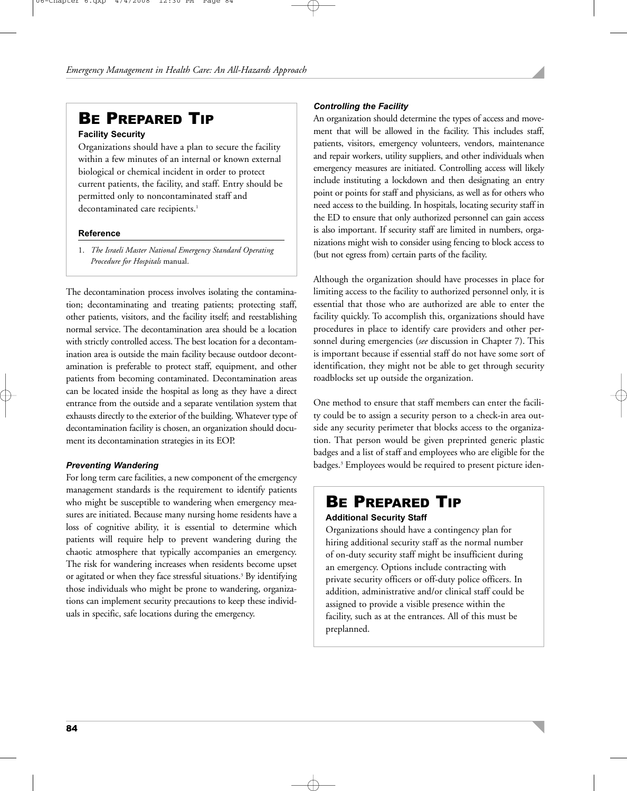# BE PREPARED TIP

## **Facility Security**

Organizations should have a plan to secure the facility within a few minutes of an internal or known external biological or chemical incident in order to protect current patients, the facility, and staff. Entry should be permitted only to noncontaminated staff and decontaminated care recipients.<sup>1</sup>

## **Reference**

1. *The Israeli Master National Emergency Standard Operating Procedure for Hospitals* manual.

The decontamination process involves isolating the contamination; decontaminating and treating patients; protecting staff, other patients, visitors, and the facility itself; and reestablishing normal service. The decontamination area should be a location with strictly controlled access. The best location for a decontamination area is outside the main facility because outdoor decontamination is preferable to protect staff, equipment, and other patients from becoming contaminated. Decontamination areas can be located inside the hospital as long as they have a direct entrance from the outside and a separate ventilation system that exhausts directly to the exterior of the building. Whatever type of decontamination facility is chosen, an organization should document its decontamination strategies in its EOP.

## *Preventing Wandering*

For long term care facilities, a new component of the emergency management standards is the requirement to identify patients who might be susceptible to wandering when emergency measures are initiated. Because many nursing home residents have a loss of cognitive ability, it is essential to determine which patients will require help to prevent wandering during the chaotic atmosphere that typically accompanies an emergency. The risk for wandering increases when residents become upset or agitated or when they face stressful situations.<sup>3</sup> By identifying those individuals who might be prone to wandering, organizations can implement security precautions to keep these individuals in specific, safe locations during the emergency.

# *Controlling the Facility*

An organization should determine the types of access and movement that will be allowed in the facility. This includes staff, patients, visitors, emergency volunteers, vendors, maintenance and repair workers, utility suppliers, and other individuals when emergency measures are initiated. Controlling access will likely include instituting a lockdown and then designating an entry point or points for staff and physicians, as well as for others who need access to the building. In hospitals, locating security staff in the ED to ensure that only authorized personnel can gain access is also important. If security staff are limited in numbers, organizations might wish to consider using fencing to block access to (but not egress from) certain parts of the facility.

Although the organization should have processes in place for limiting access to the facility to authorized personnel only, it is essential that those who are authorized are able to enter the facility quickly. To accomplish this, organizations should have procedures in place to identify care providers and other personnel during emergencies (*see* discussion in Chapter 7). This is important because if essential staff do not have some sort of identification, they might not be able to get through security roadblocks set up outside the organization.

One method to ensure that staff members can enter the facility could be to assign a security person to a check-in area outside any security perimeter that blocks access to the organization. That person would be given preprinted generic plastic badges and a list of staff and employees who are eligible for the badges.<sup>3</sup> Employees would be required to present picture iden-

# BE PREPARED TIP

# **Additional Security Staff**

Organizations should have a contingency plan for hiring additional security staff as the normal number of on-duty security staff might be insufficient during an emergency. Options include contracting with private security officers or off-duty police officers. In addition, administrative and/or clinical staff could be assigned to provide a visible presence within the facility, such as at the entrances. All of this must be preplanned.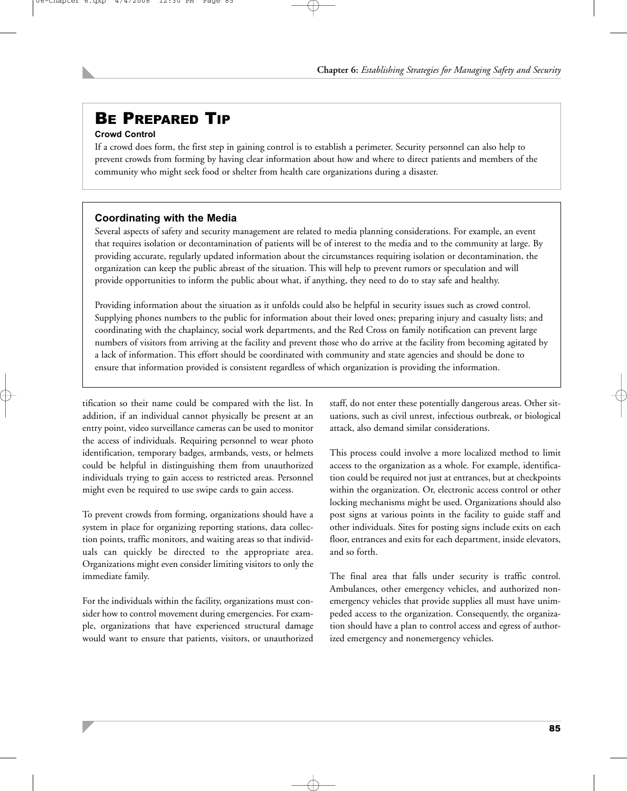# BE PREPARED TIP

# **Crowd Control**

If a crowd does form, the first step in gaining control is to establish a perimeter. Security personnel can also help to prevent crowds from forming by having clear information about how and where to direct patients and members of the community who might seek food or shelter from health care organizations during a disaster.

# **Coordinating with the Media**

Several aspects of safety and security management are related to media planning considerations. For example, an event that requires isolation or decontamination of patients will be of interest to the media and to the community at large. By providing accurate, regularly updated information about the circumstances requiring isolation or decontamination, the organization can keep the public abreast of the situation. This will help to prevent rumors or speculation and will provide opportunities to inform the public about what, if anything, they need to do to stay safe and healthy.

Providing information about the situation as it unfolds could also be helpful in security issues such as crowd control. Supplying phones numbers to the public for information about their loved ones; preparing injury and casualty lists; and coordinating with the chaplaincy, social work departments, and the Red Cross on family notification can prevent large numbers of visitors from arriving at the facility and prevent those who do arrive at the facility from becoming agitated by a lack of information. This effort should be coordinated with community and state agencies and should be done to ensure that information provided is consistent regardless of which organization is providing the information.

tification so their name could be compared with the list. In addition, if an individual cannot physically be present at an entry point, video surveillance cameras can be used to monitor the access of individuals. Requiring personnel to wear photo identification, temporary badges, armbands, vests, or helmets could be helpful in distinguishing them from unauthorized individuals trying to gain access to restricted areas. Personnel might even be required to use swipe cards to gain access.

To prevent crowds from forming, organizations should have a system in place for organizing reporting stations, data collection points, traffic monitors, and waiting areas so that individuals can quickly be directed to the appropriate area. Organizations might even consider limiting visitors to only the immediate family.

For the individuals within the facility, organizations must consider how to control movement during emergencies. For example, organizations that have experienced structural damage would want to ensure that patients, visitors, or unauthorized staff, do not enter these potentially dangerous areas. Other situations, such as civil unrest, infectious outbreak, or biological attack, also demand similar considerations.

This process could involve a more localized method to limit access to the organization as a whole. For example, identification could be required not just at entrances, but at checkpoints within the organization. Or, electronic access control or other locking mechanisms might be used. Organizations should also post signs at various points in the facility to guide staff and other individuals. Sites for posting signs include exits on each floor, entrances and exits for each department, inside elevators, and so forth.

The final area that falls under security is traffic control. Ambulances, other emergency vehicles, and authorized nonemergency vehicles that provide supplies all must have unimpeded access to the organization. Consequently, the organization should have a plan to control access and egress of authorized emergency and nonemergency vehicles.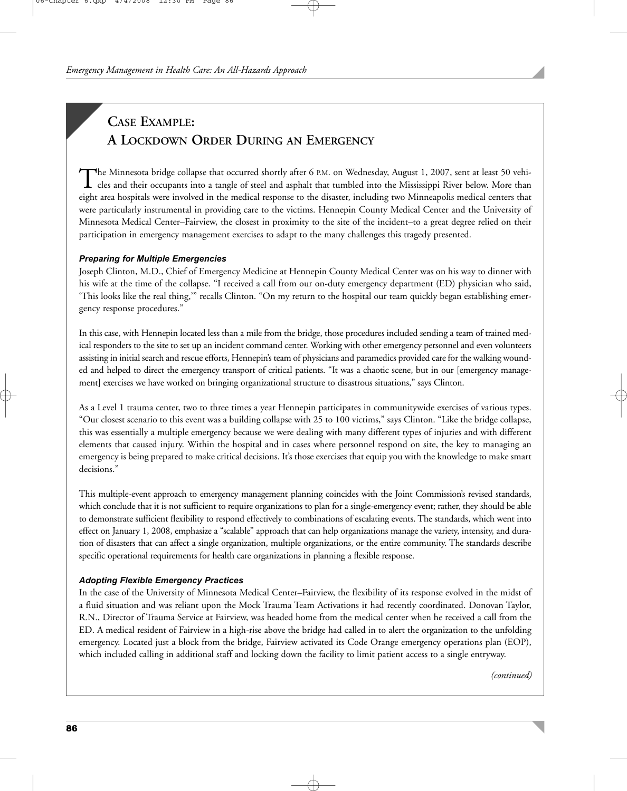# **CASE EXAMPLE: A LOCKDOWN ORDER DURING AN EMERGENCY**

The Minnesota bridge collapse that occurred shortly after 6 P.M. on Wednesday, August 1, 2007, sent at least 50 vehi-<br>cles and their occupants into a tangle of steel and asphalt that tumbled into the Mississippi River belo eight area hospitals were involved in the medical response to the disaster, including two Minneapolis medical centers that were particularly instrumental in providing care to the victims. Hennepin County Medical Center and the University of Minnesota Medical Center–Fairview, the closest in proximity to the site of the incident–to a great degree relied on their participation in emergency management exercises to adapt to the many challenges this tragedy presented.

## *Preparing for Multiple Emergencies*

Joseph Clinton, M.D., Chief of Emergency Medicine at Hennepin County Medical Center was on his way to dinner with his wife at the time of the collapse. "I received a call from our on-duty emergency department (ED) physician who said, 'This looks like the real thing,'" recalls Clinton. "On my return to the hospital our team quickly began establishing emergency response procedures."

In this case, with Hennepin located less than a mile from the bridge, those procedures included sending a team of trained medical responders to the site to set up an incident command center. Working with other emergency personnel and even volunteers assisting in initial search and rescue efforts, Hennepin's team of physicians and paramedics provided care for the walking wounded and helped to direct the emergency transport of critical patients. "It was a chaotic scene, but in our [emergency management] exercises we have worked on bringing organizational structure to disastrous situations," says Clinton.

As a Level 1 trauma center, two to three times a year Hennepin participates in communitywide exercises of various types. "Our closest scenario to this event was a building collapse with 25 to 100 victims," says Clinton. "Like the bridge collapse, this was essentially a multiple emergency because we were dealing with many different types of injuries and with different elements that caused injury. Within the hospital and in cases where personnel respond on site, the key to managing an emergency is being prepared to make critical decisions. It's those exercises that equip you with the knowledge to make smart decisions."

This multiple-event approach to emergency management planning coincides with the Joint Commission's revised standards, which conclude that it is not sufficient to require organizations to plan for a single-emergency event; rather, they should be able to demonstrate sufficient flexibility to respond effectively to combinations of escalating events. The standards, which went into effect on January 1, 2008, emphasize a "scalable" approach that can help organizations manage the variety, intensity, and duration of disasters that can affect a single organization, multiple organizations, or the entire community. The standards describe specific operational requirements for health care organizations in planning a flexible response.

#### *Adopting Flexible Emergency Practices*

In the case of the University of Minnesota Medical Center–Fairview, the flexibility of its response evolved in the midst of a fluid situation and was reliant upon the Mock Trauma Team Activations it had recently coordinated. Donovan Taylor, R.N., Director of Trauma Service at Fairview, was headed home from the medical center when he received a call from the ED. A medical resident of Fairview in a high-rise above the bridge had called in to alert the organization to the unfolding emergency. Located just a block from the bridge, Fairview activated its Code Orange emergency operations plan (EOP), which included calling in additional staff and locking down the facility to limit patient access to a single entryway.

*(continued)*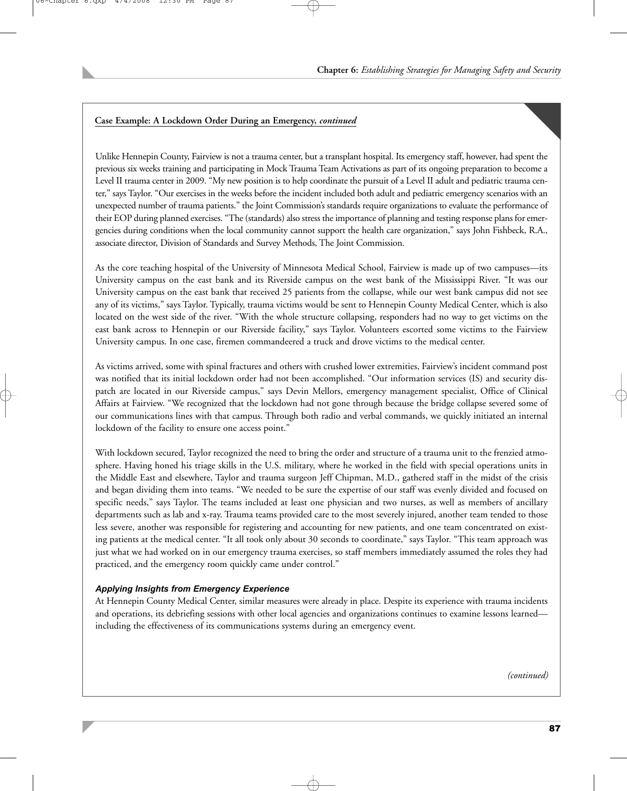## **Case Example: A Lockdown Order During an Emergency,** *continued*

Unlike Hennepin County, Fairview is not a trauma center, but a transplant hospital. Its emergency staff, however, had spent the previous six weeks training and participating in Mock Trauma Team Activations as part of its ongoing preparation to become a Level II trauma center in 2009. "My new position is to help coordinate the pursuit of a Level II adult and pediatric trauma center," says Taylor. "Our exercises in the weeks before the incident included both adult and pediatric emergency scenarios with an unexpected number of trauma patients." the Joint Commission's standards require organizations to evaluate the performance of their EOP during planned exercises. "The (standards) also stress the importance of planning and testing response plans for emergencies during conditions when the local community cannot support the health care organization," says John Fishbeck, R.A., associate director, Division of Standards and Survey Methods, The Joint Commission.

As the core teaching hospital of the University of Minnesota Medical School, Fairview is made up of two campuses—its University campus on the east bank and its Riverside campus on the west bank of the Mississippi River. "It was our University campus on the east bank that received 25 patients from the collapse, while our west bank campus did not see any of its victims," says Taylor. Typically, trauma victims would be sent to Hennepin County Medical Center, which is also located on the west side of the river. "With the whole structure collapsing, responders had no way to get victims on the east bank across to Hennepin or our Riverside facility," says Taylor. Volunteers escorted some victims to the Fairview University campus. In one case, firemen commandeered a truck and drove victims to the medical center.

As victims arrived, some with spinal fractures and others with crushed lower extremities, Fairview's incident command post was notified that its initial lockdown order had not been accomplished. "Our information services (IS) and security dispatch are located in our Riverside campus," says Devin Mellors, emergency management specialist, Office of Clinical Affairs at Fairview. "We recognized that the lockdown had not gone through because the bridge collapse severed some of our communications lines with that campus. Through both radio and verbal commands, we quickly initiated an internal lockdown of the facility to ensure one access point."

With lockdown secured, Taylor recognized the need to bring the order and structure of a trauma unit to the frenzied atmosphere. Having honed his triage skills in the U.S. military, where he worked in the field with special operations units in the Middle East and elsewhere, Taylor and trauma surgeon Jeff Chipman, M.D., gathered staff in the midst of the crisis and began dividing them into teams. "We needed to be sure the expertise of our staff was evenly divided and focused on specific needs," says Taylor. The teams included at least one physician and two nurses, as well as members of ancillary departments such as lab and x-ray. Trauma teams provided care to the most severely injured, another team tended to those less severe, another was responsible for registering and accounting for new patients, and one team concentrated on existing patients at the medical center. "It all took only about 30 seconds to coordinate," says Taylor. "This team approach was just what we had worked on in our emergency trauma exercises, so staff members immediately assumed the roles they had practiced, and the emergency room quickly came under control."

#### *Applying Insights from Emergency Experience*

At Hennepin County Medical Center, similar measures were already in place. Despite its experience with trauma incidents and operations, its debriefing sessions with other local agencies and organizations continues to examine lessons learned including the effectiveness of its communications systems during an emergency event.

*(continued)*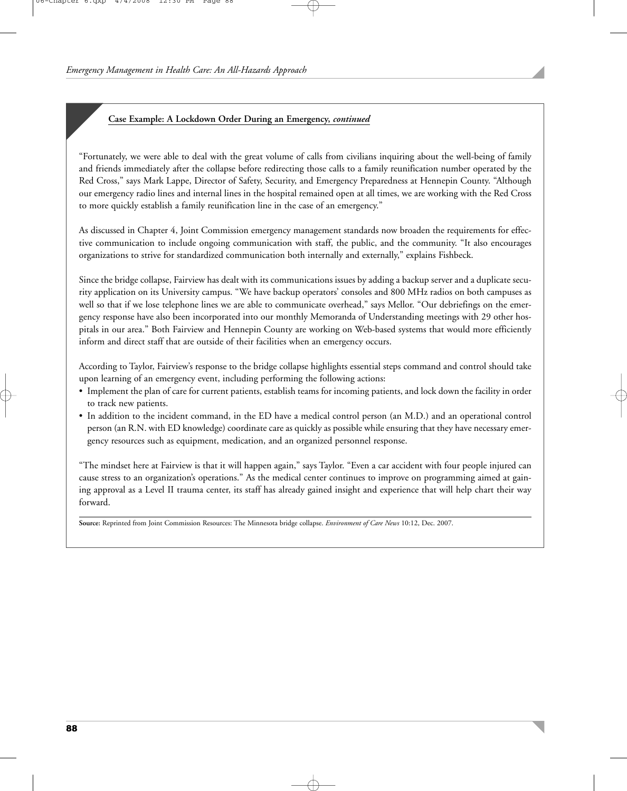## **Case Example: A Lockdown Order During an Emergency,** *continued*

"Fortunately, we were able to deal with the great volume of calls from civilians inquiring about the well-being of family and friends immediately after the collapse before redirecting those calls to a family reunification number operated by the Red Cross," says Mark Lappe, Director of Safety, Security, and Emergency Preparedness at Hennepin County. "Although our emergency radio lines and internal lines in the hospital remained open at all times, we are working with the Red Cross to more quickly establish a family reunification line in the case of an emergency."

As discussed in Chapter 4, Joint Commission emergency management standards now broaden the requirements for effective communication to include ongoing communication with staff, the public, and the community. "It also encourages organizations to strive for standardized communication both internally and externally," explains Fishbeck.

Since the bridge collapse, Fairview has dealt with its communications issues by adding a backup server and a duplicate security application on its University campus. "We have backup operators' consoles and 800 MHz radios on both campuses as well so that if we lose telephone lines we are able to communicate overhead," says Mellor. "Our debriefings on the emergency response have also been incorporated into our monthly Memoranda of Understanding meetings with 29 other hospitals in our area." Both Fairview and Hennepin County are working on Web-based systems that would more efficiently inform and direct staff that are outside of their facilities when an emergency occurs.

According to Taylor, Fairview's response to the bridge collapse highlights essential steps command and control should take upon learning of an emergency event, including performing the following actions:

- Implement the plan of care for current patients, establish teams for incoming patients, and lock down the facility in order to track new patients.
- In addition to the incident command, in the ED have a medical control person (an M.D.) and an operational control person (an R.N. with ED knowledge) coordinate care as quickly as possible while ensuring that they have necessary emergency resources such as equipment, medication, and an organized personnel response.

"The mindset here at Fairview is that it will happen again," says Taylor. "Even a car accident with four people injured can cause stress to an organization's operations." As the medical center continues to improve on programming aimed at gaining approval as a Level II trauma center, its staff has already gained insight and experience that will help chart their way forward.

**Source:** Reprinted from Joint Commission Resources: The Minnesota bridge collapse. *Environment of Care News* 10:12, Dec. 2007.